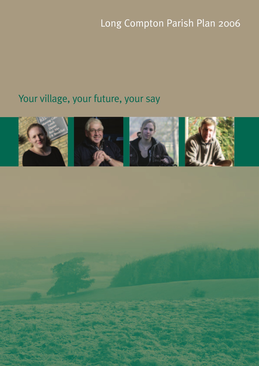# Long Compton Parish Plan 2006

# Your village, your future, your say

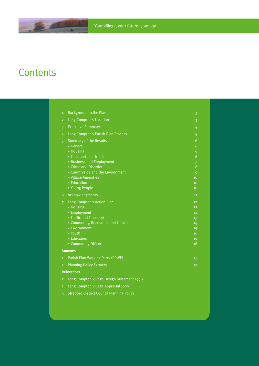## **Contents**

 $-24$ 

| 1.                | Background to the Plan                            | 3              |  |
|-------------------|---------------------------------------------------|----------------|--|
| 2.                | Long Compton's Location                           | 3              |  |
| $\overline{3}$    | <b>Executive Summary</b>                          | 4              |  |
| 4.                | Long Compton's Parish Plan Process                | 4              |  |
| 5.                | <b>Summary of the Results</b>                     | 6              |  |
|                   | • General                                         | 6              |  |
|                   | • Housing                                         | 6              |  |
|                   | • Transport and Traffic                           | 6              |  |
|                   | • Business and Employment                         | $\overline{7}$ |  |
|                   | • Crime and Disorder                              | 8              |  |
|                   | • Countryside and the Environment                 | 9              |  |
|                   | · Village Amenities                               | 10             |  |
|                   | • Education                                       | 10             |  |
|                   | • Young People                                    | 10             |  |
| 6.                | Acknowledgments                                   | 11             |  |
| 7.                | Long Compton's Action Plan                        | 12             |  |
|                   | • Housing                                         | 12             |  |
|                   | • Employment                                      | 12             |  |
|                   | • Traffic and Transport                           | 13             |  |
|                   | · Community, Recreation and Leisure               | 14             |  |
|                   | • Environment                                     | 15             |  |
|                   | • Youth                                           | 16             |  |
|                   | • Education                                       | 16             |  |
|                   | • Community Officer                               | 16             |  |
|                   | <b>Annexes</b>                                    |                |  |
| 1.                | Parish Plan Working Party (PPWP)                  | 17             |  |
| 2.                | <b>Planning Policy Extracts</b>                   | 17             |  |
| <b>References</b> |                                                   |                |  |
| 1.                | Long Compton Village Design Statement 1998        |                |  |
| 2.                | Long Compton Village Appraisal 1999               |                |  |
| $\overline{3}$ .  | <b>Stratford District Council Planning Policy</b> |                |  |
|                   |                                                   |                |  |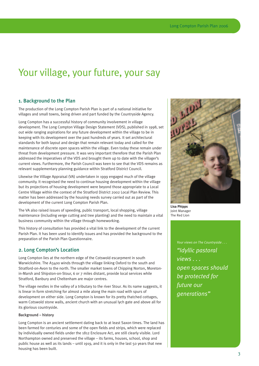## Your village, your future, your say

## 1. Background to the Plan

The production of the Long Compton Parish Plan is part of a national initiative for villages and small towns, being driven and part funded by the Countryside Agency.

Long Compton has a successful history of community involvement in village development. The Long Compton Village Design Statement (VDS), published in 1998, set out wide ranging aspirations for any future development within the village to be in keeping with its development over the past hundreds of years. It set architectural standards for both layout and design that remain relevant today and called for the maintenance of discrete open spaces within the village. Even today these remain under threat from development pressure. It was very important therefore that the Parish Plan addressed the imperatives of the VDS and brought them up to date with the villager's current views. Furthermore, the Parish Council was keen to see that the VDS remains as relevant supplementary planning guidance within Stratford District Council.

Likewise the Village Appraisal (VA) undertaken in 1999 engaged much of the village community. It recognised the need to continue housing development within the village but its projections of housing development were beyond those appropriate to a Local Centre Village within the context of the Stratford District 2002 Local Plan Review. This matter has been addressed by the housing needs survey carried out as part of the development of the current Long Compton Parish Plan.

The VA also raised issues of speeding, public transport, local shopping, village maintenance (including verge cutting and tree planting) and the need to maintain a vital business community within the village through homeworking.

This history of consultation has provided a vital link to the development of the current Parish Plan. It has been used to identify issues and has provided the background to the preparation of the Parish Plan Questionnaire.

## 2. Long Compton's Location

Long Compton lies at the northern edge of the Cotswold escarpment in south Warwickshire. The A3400 winds through the village linking Oxford to the south and Stratford-on-Avon to the north. The smaller market towns of Chipping Norton, Moretonin-Marsh and Shipston-on-Stour, 6 or 7 miles distant, provide local services while Stratford, Banbury and Cheltenham are major centres.

The village nestles in the valley of a tributary to the river Stour. As its name suggests, it is linear in form stretching for almost a mile along the main road with spurs of development on either side. Long Compton is known for its pretty thatched cottages, warm Cotswold stone walls, ancient church with an unusual lych gate and above all for its glorious countryside.

## Background – history

Long Compton is an ancient settlement dating back to at least Saxon times. The land has been farmed for centuries and some of the open fields and strips, which were replaced by individually owned fields under the 1812 Enclosure Act, are still clearly visible. Lord Northampton owned and preserved the village – its farms, houses, school, shop and public house as well as its lands – until 1919, and it is only in the last 50 years that new housing has been built.



**Lisa Phipps** Joint Manager The Red Lion

> *Your views on The Countryside . . . "Idyllic pastoral views . . . open spaces should be protected for future our generations"*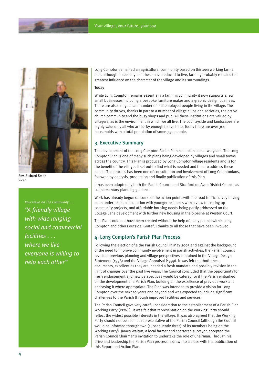

**Rev. Richard Smith** Vicar

*Your views on The Community . . . "A friendly village with wide ranging social and commercial facilities . . . where we live everyone is willing to help each other"*

Long Compton remained an agricultural community based on thirteen working farms and, although in recent years these have reduced to five, farming probably remains the greatest influence on the character of the village and its surroundings.

## **Today**

While Long Compton remains essentially a farming community it now supports a few small businesses including a bespoke furniture maker and a graphic design business. There are also a significant number of self-employed people living in the village. The community thrives, thanks in part to a number of village clubs and societies, the active church community and the busy shops and pub. All these institutions are valued by villagers, as is the environment in which we all live. The countryside and landscapes are highly valued by all who are lucky enough to live here. Today there are over 300 households with a total population of some 750 people.

## 3. Executive Summary

The development of the Long Compton Parish Plan has taken some two years. The Long Compton Plan is one of many such plans being developed by villages and small towns across the country. This Plan is produced by Long Compton village residents and is for the benefit of the village. It set out to find what is needed and then to address these needs. The process has been one of consultation and involvement of Long Comptonians, followed by analysis, production and finally publication of this Plan.

It has been adopted by both the Parish Council and Stratford on Avon District Council as supplementary planning guidance.

Work has already begun on some of the action points with the road traffic survey having been undertaken, consultation with younger residents with a view to setting up community projects, and affordable housing needs being partly addressed on the College Lane development with further new housing in the pipeline at Weston Court.

This Plan could not have been created without the help of many people within Long Compton and others outside. Grateful thanks to all those that have been involved.

## 4. Long Compton's Parish Plan Process

Following the election of a the Parish Council in May 2003 and against the background of the need to improve community involvement in parish activities, the Parish Council revisited previous planning and village perspectives contained in the Village Design Statement (1998) and the Village Appraisal (1999). It was felt that both these documents, excellent as they are, needed a fresh mandate and possibly revision in the light of changes over the past five years. The Council concluded that the opportunity for fresh endorsement and new perspectives would be catered for if the Parish embarked on the development of a Parish Plan, building on the excellence of previous work and endorsing it where appropriate. The Plan was intended to provide a vision for Long Compton over the next 10 years and beyond and was expected to include significant challenges to the Parish through improved facilities and services.

The Parish Council gave very careful consideration to the establishment of a Parish Plan Working Party (PPWP). It was felt that representation on the Working Party should reflect the widest possible interests in the village. It was also agreed that the Working Party should not be seen as representative of the Parish Council (although the Council would be informed through two (subsequently three) of its members being on the Working Party). James Walton, a local farmer and chartered surveyor, accepted the Parish Council Chairman's invitation to undertake the role of Chairman. Through his drive and leadership the Parish Plan process is drawn to a close with the publication of this Report and Action Plan.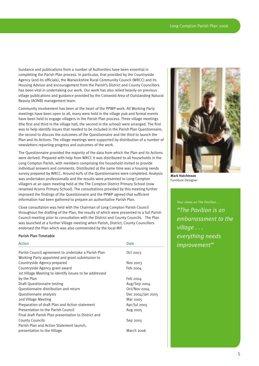Guidance and publications from a number of Authorities have been essential in completing the Parish Plan process. In particular, that provided by the Countryside Agency (and its officials), the Warwickshire Rural Community Council (WRCC) and its Housing Advisor and encouragement from the Parish's District and County Councillors has been vital in undertaking our work. Our work has also relied heavily on previous village publications and guidance provided by the Cotswold Area of Outstanding Natural Beauty (AONB) management team.

Community involvement has been at the heart of the PPWP work. All Working Party meetings have been open to all, many were held in the village pub and formal events have been held to engage villagers in the Parish Plan process. Three village meetings (the first and third in the village hall, the second in the school) were arranged. The first was to help identify issues that needed to be included in the Parish Plan Questionnaire, the second to discuss the outcomes of the Questionnaire and the third to launch the Plan and its Actions. The village meetings were supported by distribution of a number of newsletters reporting progress and outcomes of the work.

The Questionnaire provided the majority of the data from which the Plan and its Actions were derived. Prepared with help from WRCC it was distributed to all households in the Long Compton Parish, with members comprising the household invited to provide individual answers and comments. Distributed at the same time was a housing needs survey prepared by WRCC. Around 60% of the Questionnaires were completed. Analysis was undertaken professionally and the results were presented to Long Compton villagers at an open meeting held at the The Compton District Primary School (now renamed Acorns Primary School). The consultations provided by this meeting further improved the findings of the Questionnaire and the PPWP agreed that sufficient information had been gathered to prepare an authoritative Parish Plan.

Close consultation was held with the Chairman of Long Compton Parish Council throughout the drafting of the Plan, the results of which were presented to a full Parish Council meeting prior to consultation with the District and County Councils. The Plan was launched at a further Village meeting when Parish, District, County Councillors endorsed the Plan which was also commended by the local MP.

#### Parish Plan Timetable

| Action                                                 | Date              |
|--------------------------------------------------------|-------------------|
| Parish Council agreement to undertake a Parish Plan    | Oct 2003          |
| Working Party appointed and grant submission to        |                   |
| Countryside Agency prepared                            | Nov 2003          |
| Countryside Agency grant award                         | Feb 2004          |
| 1st Village Meeting to identify issues to be addressed |                   |
| by the Plan                                            | Feb 2004          |
| Draft Questionnaire testing                            | $Aug/Sep$ 2004    |
| Questionnaire distribution and return                  | Oct/Nov 2004      |
| Questionnaire analysis                                 | Dec 2004/Jan 2005 |
| 2nd Village Meeting                                    | Mar 2005          |
| Preparation of draft Plan and Action statement         | Apr/Jul 2005      |
| Presentation to the Parish Council                     | Aug 2005          |
| Final draft Parish Plan presentation to District and   |                   |
| <b>County Councils</b>                                 | Sep 2005          |
| Parish Plan and Action Statement launch,               |                   |
| presentation to the Village                            | March 2006        |



**Mark Hutchinson** Furniture Designer

*"The Pavilion is an embarrassment to the village . . . everything needs improvement"*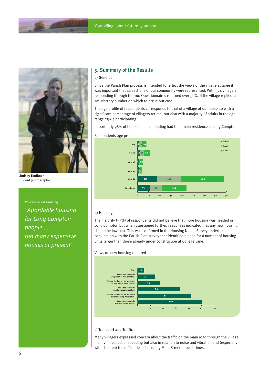



**Lindsay Faulkner** Student photographer

*Your views on Housing . . . "Affordable housing for Long Compton people . . . too many expensive houses at present"*

## 5. Summary of the Results

## a) General

Since the Parish Plan process is intended to reflect the views of the village at large it was important that all sections of our community were represented. With 374 villagers responding through the 160 Questionnaires returned over 50% of the village replied, a satisfactory number on which to argue our case.

The age profile of respondents corresponds to that of a village of our make up with a significant percentage of villagers retired, but also with a majority of adults in the age range 25-64 participating.

Importantly 98% of households responding had their main residence in Long Compton.





## b) Housing

The majority (53%) of respondents did not believe that more housing was needed in Long Compton but when questioned further, responses indicated that any new housing should be low cost. This was confirmed in the Housing Needs Survey undertaken in conjunction with the Parish Plan survey that identified a need for a number of housing units larger than those already under construction at College Lane.

## Views on new housing required



#### c) Transport and Traffic

Many villagers expressed concern about the traffic on the main road through the village, mainly in respect of speeding but also in relation to noise and vibration and (especially with children) the difficulties of crossing Main Street at peak times.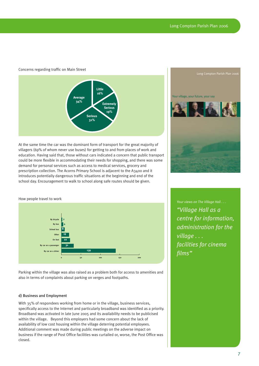Your village, your future, your say

## Concerns regarding traffic on Main Street



At the same time the car was the dominant form of transport for the great majority of villagers (69% of whom never use buses) for getting to and from places of work and education. Having said that, those without cars indicated a concern that public transport could be more flexible in accommodating their needs for shopping, and there was some demand for personal services such as access to medical services, grocery and prescription collection. The Acorns Primary School is adjacent to the A3400 and it introduces potentially dangerous traffic situations at the beginning and end of the school day. Encouragement to walk to school along safe routes should be given.

How people travel to work



Parking within the village was also raised as a problem both for access to amenities and also in terms of complaints about parking on verges and footpaths.

#### d) Business and Employment

With 35% of respondees working from home or in the village, business services, specifically access to the Internet and particularly broadband was identified as a priority. Broadband was activated in late June 2005 and its availability needs to be publicised within the village. Beyond this employers had some concern about the lack of availability of low cost housing within the village deterring potential employees. Additional comment was made during public meetings on the adverse impact on business if the range of Post Office facilities was curtailed or, worse, the Post Office was closed.

*Your views on The Village Hall . . . "Village Hall as a centre for information, administration for the village . . . facilities for cinema films"*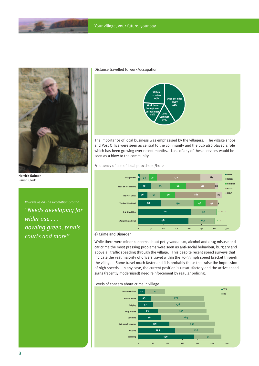

**Herrick Salmon** Parish Clerk

*Your views on The Recreation Ground . . . "Needs developing for wider use . . . bowling green, tennis courts and more"*

#### Distance travelled to work/occupation



The importance of local business was emphasised by the villagers. The village shops and Post Office were seen as central to the community and the pub also played a role which has been growing over recent months. Loss of any of these services would be seen as a blow to the community.

Frequency of use of local pub/shops/hotel



## e) Crime and Disorder

While there were minor concerns about petty vandalism, alcohol and drug misuse and car crime the most pressing problems were seen as anti-social behaviour, burglary and above all traffic speeding through the village. This despite recent speed surveys that indicate the vast majority of drivers travel within the 30-33 mph speed bracket through the village. Some travel much faster and it is probably these that raise the impression of high speeds. In any case, the current position is unsatisfactory and the active speed signs (recently modernised) need reinforcement by regular policing.

#### Levels of concern about crime in village

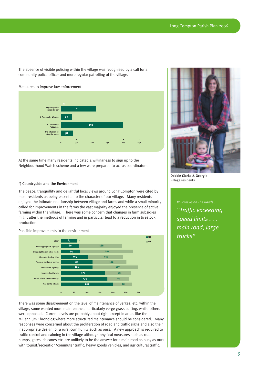The absence of visible policing within the village was recognised by a call for a community police officer and more regular patrolling of the village.

#### Measures to improve law enforcement



At the same time many residents indicated a willingness to sign up to the Neighbourhood Watch scheme and a few were prepared to act as coordinators.

#### f) Countryside and the Environment

The peace, tranquillity and delightful local views around Long Compton were cited by most residents as being essential to the character of our village. Many residents enjoyed the intimate relationship between village and farms and while a small minority called for improvements in the farms the vast majority enjoyed the presence of active farming within the village. There was some concern that changes in farm subsidies might alter the methods of farming and in particular lead to a reduction in livestock production.

Possible improvements to the environment



There was some disagreement on the level of maintenance of verges, etc. within the village, some wanted more maintenance, particularly verge grass cutting, whilst others were opposed. Current levels are probably about right except in areas like the Millennium Chronolog where more structured maintenance should be considered. Many responses were concerned about the proliferation of road and traffic signs and also their inappropriate design for a rural community such as ours. A new approach is required to traffic control and calming in the village although physical measures such as road humps, gates, chicanes etc. are unlikely to be the answer for a main road as busy as ours with tourist/recreation/commuter traffic, heavy goods vehicles, and agricultural traffic.



**Debbie Clarke & Georgie** Village residents

*Your views on The Roads . . . "Traffic exceeding speed limits . . . main road, large trucks"*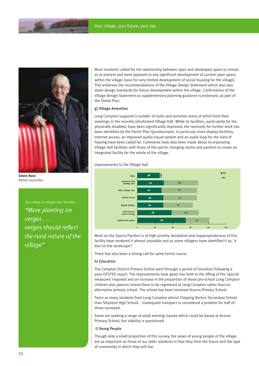

**Edwin Rose** Parish Councillor

*Your views on Verges and Streams . . . "More planting on verges . . . verges should reflect the rural nature of the village"*

Most residents called for the relationship between open and developed space to remain as at present and were opposed to any significant development of current open space within the village (save for very limited development of social housing for the village). This endorses the recommendations of the Village Design Statement which also lays down design standards for future development within the village. Confirmation of the Village Design Statement as supplementary planning guidance is endorsed, as part of the Parish Plan.

## g) Village Amenities

Long Compton supports a number of clubs and societies many of which hold their meetings in the recently refurbished Village Hall. While its facilities, particularly for the physically disabled, have been significantly improved, the necessity for further work has been identified by the Parish Plan Questionnaire. In particular more display facilities, Internet access, an improved audio/visual system and an audio loop for the hard of hearing have been called for. Comments have also been made about incorporating Village Hall facilities with those of the sports changing rooms and pavilion to create an integrated facility for the whole of the village.



Improvements to the Village Hall

Work on the Sports Pavilion is of high priority. Vandalism and inappropriateness of this facility have rendered it almost unusable and as some villagers have identified it as, 'a blot on the landscape'!

There has also been a strong call for some tennis courts.

#### h) Education

The Compton District Primary School went through a period of transition following a poor OFSTED report. The improvements have given rise both to the lifting of the 'special measures' imposed and an increase in the proportion of those pre-school Long Compton children who parents intend them to be registered at Long Compton rather than an alternative primary school. The school has been renamed Acorns Primary School.

Twice as many students from Long Compton attend Chipping Norton Secondary School than Shipston High School. Inadequate transport is considered a problem for half of those surveyed.

Some are seeking a range of adult evening classes which could be based at Acorns Primary School, but viability is questioned.

## i) Young People

Though only a small proportion of this survey, the views of young people of the village are as important as those of our older residents in that they form the future and the type of community in which they will live.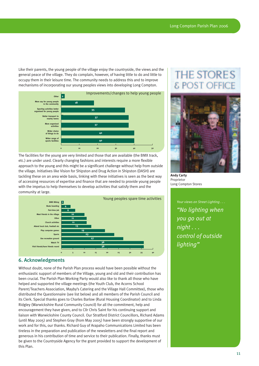Like their parents, the young people of the village enjoy the countryside, the views and the general peace of the village. They do complain, however, of having little to do and little to occupy them in their leisure time. The community needs to address this and to improve mechanisms of incorporating our young peoples views into developing Long Compton.



The facilities for the young are very limited and those that are available (the BMX track, etc.) are under used. Clearly changing fashions and interests require a more flexible approach to the young and this might be a significant challenge without help from outside the village. Initiatives like Vision for Shipston and Drug Action in Shipston (DASH) are tackling these on an area wide basis, linking with these initiatives is seen as the best way of accessing resources of expertise and finance that are needed to provide young people with the impetus to help themselves to develop activities that satisfy them and the community at large.



## 6. Acknowledgments

Without doubt, none of the Parish Plan process would have been possible without the enthusiastic support of members of the Village, young and old and their contribution has been crucial. The Parish Plan Working Party would also like to thank all those who have helped and supported the village meetings (the Youth Club, the Acorns School Parent/Teachers Association, Mayby's Catering and the Village Hall Committee), those who distributed the Questionnaire (see list below) and all members of the Parish Council and its Clerk. Special thanks goes to Charles Barlow (Rural Housing Coordinator) and to Linda Ridgley (Warwickshire Rural Community Council) for all the commitment, help and encouragement they have given, and to Cllr Chris Saint for his continuing support and liaison with Warwickshire County Council. Our Stratford District Councillors, Richard Adams (until May 2005) and Stephen Gray (from May 2005) have been strongly supportive of our work and for this, our thanks. Richard Guy of Arapaho Communications Limited has been tireless in the preparation and publication of the newsletters and the final report and generous in his contribution of time and service to their publication. Finally, thanks must be given to the Countryside Agency for the grant provided to support the development of this Plan.

## **THE STORE & POST**



**Andy Carty** Proprietor Long Compton Stores

*Your views on Street Lighting . . . "No lighting when you go out at night . . . control of outside lighting"*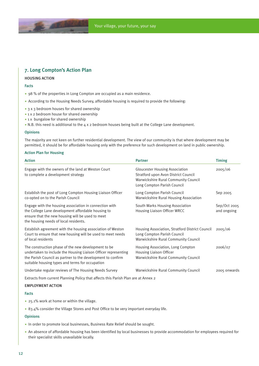## 7. Long Compton's Action Plan

## HOUSING ACTION

## Facts

- 98 % of the properties in Long Compton are occupied as a main residence.
- According to the Housing Needs Survey, affordable housing is required to provide the following:
- $\cdot$  3 x 3 bedroom houses for shared ownership
- $\cdot$  1 x 2 bedroom house for shared ownership
- $\cdot$  1 x bungalow for shared ownership
- N.B. this need is additional to the 4 x 2 bedroom houses being built at the College Lane development.

## **Opinions**

The majority are not keen on further residential development. The view of our community is that where development may be permitted, it should be for affordable housing only with the preference for such development on land in public ownership.

#### Action Plan for Housing

| <b>Action</b>                                                                                                                                                                                                                           | <b>Partner</b>                                                                                                                                       | <b>Timing</b>               |
|-----------------------------------------------------------------------------------------------------------------------------------------------------------------------------------------------------------------------------------------|------------------------------------------------------------------------------------------------------------------------------------------------------|-----------------------------|
| Engage with the owners of the land at Weston Court<br>to complete a development strategy                                                                                                                                                | <b>Gloucester Housing Association</b><br>Stratford upon Avon District Council<br>Warwickshire Rural Community Council<br>Long Compton Parish Council | 2005/06                     |
| Establish the post of Long Compton Housing Liaison Officer<br>co-opted on to the Parish Council                                                                                                                                         | Long Compton Parish Council<br>Warwickshire Rural Housing Association                                                                                | Sep 2005                    |
| Engage with the housing association in connection with<br>the College Lane development affordable housing to<br>ensure that the new housing will be used to meet<br>the housing needs of local residents.                               | South Warks Housing Association<br>Housing Liaison Officer WRCC                                                                                      | Sep/Oct 2005<br>and ongoing |
| Establish agreement with the housing association of Weston<br>Court to ensure that new housing will be used to meet needs<br>of local residents                                                                                         | Housing Association, Stratford District Council<br>Long Compton Parish Council<br>Warwickshire Rural Community Council                               | 2005/06                     |
| The construction phase of the new development to be<br>undertaken to include the Housing Liaison Officer representing<br>the Parish Council as partner to the development to confirm<br>suitable housing types and terms for occupation | Housing Association, Long Compton<br>Housing Liaison Officer<br>Warwickshire Rural Community Council                                                 | 2006/07                     |
| Undertake regular reviews of The Housing Needs Survey                                                                                                                                                                                   | Warwickshire Rural Community Council                                                                                                                 | 2005 onwards                |
| Extracts from current Planning Policy that affects this Parish Plan are at Annex 2                                                                                                                                                      |                                                                                                                                                      |                             |
| <b>EMPLOYMENT ACTION</b>                                                                                                                                                                                                                |                                                                                                                                                      |                             |

#### Facts

- 25.1% work at home or within the village.
- 83.4% consider the Village Stores and Post Office to be very important everyday life.

## **Opinions**

- In order to promote local businesses, Business Rate Relief should be sought.
- An absence of affordable housing has been identified by local businesses to provide accommodation for employees required for their specialist skills unavailable locally.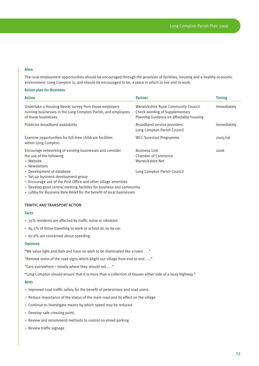## Aims

The rural employment opportunities should be encouraged through the provision of facilities, housing and a healthy economic environment. Long Compton is, and should be encouraged to be, a place in which to live and to work.

#### Action plan for Business

| <b>Action</b>                                                                                                                                | <b>Partner</b>                                                                                                    | <b>Timing</b> |
|----------------------------------------------------------------------------------------------------------------------------------------------|-------------------------------------------------------------------------------------------------------------------|---------------|
| Undertake a Housing Needs survey from those employers<br>running businesses in the Long Compton Parish, and employees<br>of those businesses | Warwickshire Rural Community Council<br>Check wording of Supplementary<br>Planning Guidance on affordable housing | Immediately   |
| Publicise broadband availability                                                                                                             | Broadband service providers<br>Long Compton Parish Council                                                        | Immediately   |
| Examine opportunities for full-time childcare facilities<br>within Long Compton                                                              | <b>WCC Surestart Programme</b>                                                                                    | 2005/06       |
| Encourage networking of existing businesses and consider<br>the use of the following<br>• Website<br>• Newsletters                           | <b>Business Link</b><br>Chamber of Commerce<br>Warwickshire Net                                                   | 2006          |
| • Development of database<br>• Set up business development group<br>• Encourage use of the Post Office and other village amenities           | Long Compton Parish Council                                                                                       |               |

- Develop good central meeting facilities for business and community
- Lobby for Business Rate Relief for the benefit of local businesses

## TRAFFIC AND TRANSPORT ACTION

#### Facts

- 35% residents are affected by traffic noise or vibration
- 84.5% of those travelling to work or school do so by car.
- 67.6% are concerned about speeding

#### **Opinions**

"We value light and dark and have no wish to be illuminated like a town . . ."

"Remove some of the road signs which blight our village from end to end . . ."

"Cars everywhere – mostly where they should not . . ."

"Long Compton should ensure that it is more than a collection of houses either side of a busy highway."

## Aims

- Improved road traffic safety for the benefit of pedestrians and road users.
- Reduce importance of the status of the main road and its effect on the village
- Continue to investigate means by which speed may be reduced
- Develop safe crossing point.
- Review and recommend methods to control on street parking
- $\bullet$  Review traffic signage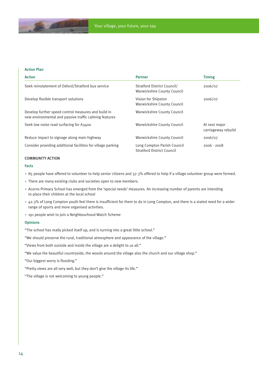## Action Plan

| <b>Action</b>                                                                                                 | <b>Partner</b>                                                   | <b>Timing</b>                        |
|---------------------------------------------------------------------------------------------------------------|------------------------------------------------------------------|--------------------------------------|
| Seek reinstatement of Oxford/Stratford bus service                                                            | Stratford District Council/<br>Warwickshire County Council       | 2006/07                              |
| Develop flexible transport solutions                                                                          | Vision for Shipston<br>Warwickshire County Council               | 2006/07                              |
| Develop further speed control measures and build in<br>new environmental and passive traffic calming features | Warwickshire County Council                                      |                                      |
| Seek low noise road surfacing for A3400                                                                       | Warwickshire County Council                                      | At next major<br>carriageway rebuild |
| Reduce impact to signage along main highway                                                                   | Warwickshire County Council                                      | 2006/07                              |
| Consider providing additional facilities for village parking                                                  | Long Compton Parish Council<br><b>Stratford District Council</b> | $2006 - 2008$                        |

## COMMUNITY ACTION

## Facts

- 85 people have offered to volunteer to help senior citizens and 37.3% offered to help if a village volunteer group were formed.
- There are many existing clubs and societies open to new members.
- Acorns Primary School has emerged from the 'special needs' measures. An increasing number of parents are intending to place their children at the local school
- 42.3% of Long Compton youth feel there is insufficient for them to do in Long Compton, and there is a stated need for a wider range of sports and more organised activities.
- 191 people wish to join a Neighbourhood Watch Scheme

#### **Opinions**

"The school has really picked itself up, and is turning into a great little school."

"We should preserve the rural, traditional atmosphere and appearance of the village."

"Views from both outside and inside the village are a delight to us all."

"We value the beautiful countryside, the woods around the village also the church and our village shop."

"Our biggest worry is flooding."

"Pretty views are all very well, but they don't give the village its life."

"The village is not welcoming to young people."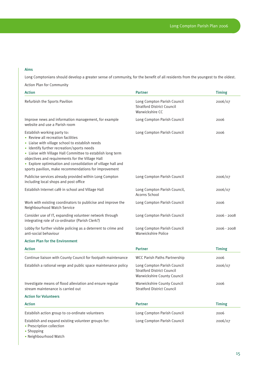## Aims

Long Comptonians should develop a greater sense of community, for the benefit of all residents from the youngest to the oldest.

Action Plan for Community

| <b>Action</b>                                                                                                                                                                                                                                                                                                                                                                                                  | <b>Partner</b>                                                                                  | <b>Timing</b> |
|----------------------------------------------------------------------------------------------------------------------------------------------------------------------------------------------------------------------------------------------------------------------------------------------------------------------------------------------------------------------------------------------------------------|-------------------------------------------------------------------------------------------------|---------------|
| Refurbish the Sports Pavilion                                                                                                                                                                                                                                                                                                                                                                                  | Long Compton Parish Council<br><b>Stratford District Council</b><br>Warwickshire CC             | 2006/07       |
| Improve news and information management, for example<br>website and use a Parish room                                                                                                                                                                                                                                                                                                                          | Long Compton Parish Council                                                                     | 2006          |
| Establish working party to:<br>• Review all recreation facilities<br>• Liaise with village school to establish needs<br>• Identify further recreation/sports needs<br>• Liaise with Village Hall Committee to establish long term<br>objectives and requirements for the Village Hall<br>• Explore optimisation and consolidation of village hall and<br>sports pavilion, make recommendations for improvement | Long Compton Parish Council                                                                     | 2006          |
| Publicise services already provided within Long Compton<br>including local shops and post office                                                                                                                                                                                                                                                                                                               | Long Compton Parish Council                                                                     | 2006/07       |
| Establish Internet café in school and Village Hall                                                                                                                                                                                                                                                                                                                                                             | Long Compton Parish Council,<br>Acorns School                                                   | 2006/07       |
| Work with existing coordinators to publicise and improve the<br>Neighbourhood Watch Service                                                                                                                                                                                                                                                                                                                    | Long Compton Parish Council                                                                     | 2006          |
| Consider use of IT, expanding volunteer network through<br>integrating role of co-ordinator (Parish Clerk?)                                                                                                                                                                                                                                                                                                    | Long Compton Parish Council                                                                     | $2006 - 2008$ |
| Lobby for further visible policing as a deterrent to crime and<br>anti-social behaviour                                                                                                                                                                                                                                                                                                                        | Long Compton Parish Council<br>Warwickshire Police                                              | $2006 - 2008$ |
| <b>Action Plan for the Environment</b>                                                                                                                                                                                                                                                                                                                                                                         |                                                                                                 |               |
| <b>Action</b>                                                                                                                                                                                                                                                                                                                                                                                                  | <b>Partner</b>                                                                                  | <b>Timing</b> |
| Continue liaison with County Council for footpath maintenance                                                                                                                                                                                                                                                                                                                                                  | <b>WCC Parish Paths Partnership</b>                                                             | 2006          |
| Establish a rational verge and public space maintenance policy                                                                                                                                                                                                                                                                                                                                                 | Long Compton Parish Council<br><b>Stratford District Council</b><br>Warwickshire County Council | 2006/07       |
| Investigate means of flood alleviation and ensure regular<br>stream maintenance is carried out                                                                                                                                                                                                                                                                                                                 | Warwickshire County Council<br><b>Stratford District Council</b>                                | 2006          |
| <b>Action for Volunteers</b>                                                                                                                                                                                                                                                                                                                                                                                   |                                                                                                 |               |
| <b>Action</b>                                                                                                                                                                                                                                                                                                                                                                                                  | <b>Partner</b>                                                                                  | <b>Timing</b> |
| Establish action group to co-ordinate volunteers                                                                                                                                                                                                                                                                                                                                                               | Long Compton Parish Council                                                                     | 2006          |
| Establish and expand existing volunteer groups for:<br>• Prescription collection                                                                                                                                                                                                                                                                                                                               | Long Compton Parish Council                                                                     | 2006/07       |

- $\cdot$  Shopping
- Neighbourhood Watch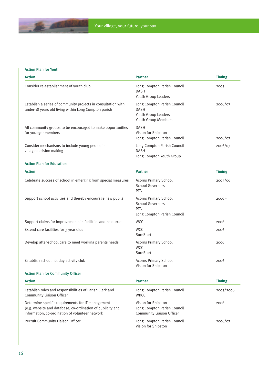## Action Plan for Youth

 $A$ 

| <b>Action</b>                                                                                                                                                      | <b>Partner</b>                                                                                       | <b>Timing</b> |
|--------------------------------------------------------------------------------------------------------------------------------------------------------------------|------------------------------------------------------------------------------------------------------|---------------|
| Consider re-establishment of youth club                                                                                                                            | Long Compton Parish Council<br><b>DASH</b><br>Youth Group Leaders                                    | 2005          |
| Establish a series of community projects in consultation with<br>under-18 years old living within Long Compton parish                                              | Long Compton Parish Council<br><b>DASH</b><br>Youth Group Leaders<br>Youth Group Members             | 2006/07       |
| All community groups to be encouraged to make opportunities<br>for younger members                                                                                 | <b>DASH</b><br>Vision for Shipston<br>Long Compton Parish Council                                    | 2006/07       |
| Consider mechanisms to include young people in<br>village decision making                                                                                          | Long Compton Parish Council<br><b>DASH</b><br>Long Compton Youth Group                               | 2006/07       |
| <b>Action Plan for Education</b>                                                                                                                                   |                                                                                                      |               |
| <b>Action</b>                                                                                                                                                      | <b>Partner</b>                                                                                       | <b>Timing</b> |
| Celebrate success of school in emerging from special measures                                                                                                      | <b>Acorns Primary School</b><br><b>School Governors</b><br>PTA                                       | 2005/06       |
| Support school activities and thereby encourage new pupils                                                                                                         | <b>Acorns Primary School</b><br><b>School Governors</b><br><b>PTA</b><br>Long Compton Parish Council | $2006 -$      |
| Support claims for improvements in facilities and resources                                                                                                        | <b>WCC</b>                                                                                           | $2006 -$      |
| Extend care facilities for 3 year olds                                                                                                                             | <b>WCC</b><br>SureStart                                                                              | $2006 -$      |
| Develop after-school care to meet working parents needs                                                                                                            | <b>Acorns Primary School</b><br><b>WCC</b><br>SureStart                                              | 2006          |
| Establish school holiday activity club                                                                                                                             | <b>Acorns Primary School</b><br>Vision for Shipston                                                  | 2006          |
| <b>Action Plan for Community Officer</b>                                                                                                                           |                                                                                                      |               |
| <b>Action</b>                                                                                                                                                      | <b>Partner</b>                                                                                       | <b>Timing</b> |
| Establish roles and responsibilities of Parish Clerk and<br><b>Community Liaison Officer</b>                                                                       | Long Compton Parish Council<br><b>WRCC</b>                                                           | 2005/2006     |
| Determine specific requirements for IT management<br>(e.g. website and database, co-ordination of publicity and<br>information, co-ordination of volunteer network | Vision for Shipston<br>Long Compton Parish Council<br>Community Liaison Officer                      | 2006          |
| Recruit Community Liaison Officer                                                                                                                                  | Long Compton Parish Council<br>Vision for Shipston                                                   | 2006/07       |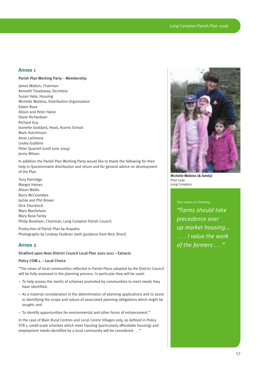## Annex 1

## Parish Plan Working Party – Membership

James Walton, Chairman Kenneth Treadaway, Secretary Susan Vaile, Housing Michelle Watkins, Distribution Organisation Edwin Rose Alison and Peter Haine Diane Richardson Richard Guy Jeanette Goddard, Head, Acorns School Mark Hutchinson Anne Lattimore Lesley Gubbins Peter Quarrell (until June 2004) Jenny Wilson

In addition the Parish Plan Working Party would like to thank the following for their help in Questionnaire distribution and return and for general advice on development of the Plan

Tony Partridge Margot Haines Alison Wallis Barry McCoombes Jackie and Phil Brown Dick Shacklock Mary Macfarlane Mary Rose Farley Philip Boreham, Chairman, Long Compton Parish Council

Production of Parish Plan by Arapaho Photographs by Lindsay Faulkner (with guidance from Nick Short)

## Annex 2

## Stratford upon Avon District Council Local Plan 2001-2011 – Extracts

## Policy COM.1. – Local Choice

"The views of local communities reflected in Parish Plans adopted by the District Council will be fully assessed in the planning process. In particular they will be used:

- To help assess the merits of schemes promoted by communities to meet needs they have identified.
- As a material consideration in the determination of planning applications and to assist in identifying the scope and nature of associated planning obligations which might be sought; and
- To identify opportunities for environmental and other forms of enhancement."

In the case of Main Rural Centres and Local Centre Villages only, as defined in Policy STR.1, small-scale schemes which meet housing (particularly affordable housing) and employment needs identified by a local community will be considered . . ."



**Michelle Watkins (& family)** Post Lady Long Compton

## *Your views on Farming . . .*

*"Farms should take precedence over up market housing... . . . I value the work of the farmers . . ."*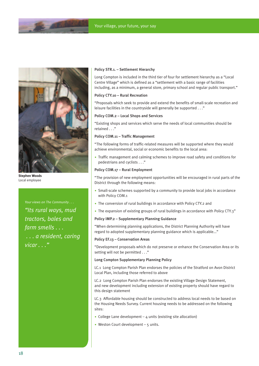



**Stephen Woods** Local employee

## *Your views on The Community . . .*

*"Its rural ways, mud tractors, bales and farm smells . . . . . . a resident, caring vicar . . ."*

#### Policy STR.1. – Settlement Hierarchy

Long Compton is included in the third tier of four for settlement hierarchy as a "Local Centre Village" which is defined as a "settlement with a basic range of facilities including, as a minimum, a general store, primary school and regular public transport."

### Policy CTY.10 – Rural Recreation

"Proposals which seek to provide and extend the benefits of small-scale recreation and leisure facilities in the countryside will generally be supported . . ."

## Policy COM.2 – Local Shops and Services

"Existing shops and services which serve the needs of local communities should be retained "

## Policy COM.11 – Traffic Management

"The following forms of traffic-related measures will be supported where they would achieve environmental, social or economic benefits to the local area:

• Traffic management and calming schemes to improve road safety and conditions for pedestrians and cyclists . . ."

## Policy COM.17 – Rural Employment

"The provision of new employment opportunities will be encouraged in rural parts of the District through the following means:

- Small-scale schemes supported by a community to provide local jobs in accordance with Policy COM.1
- The conversion of rural buildings in accordance with Policy CTY.2 and
- The expansion of existing groups of rural buildings in accordance with Policy CTY.3"

## Policy IMP.2 – Supplementary Planning Guidance

"When determining planning applications, the District Planning Authority will have regard to adopted supplementary planning guidance which is applicable..."

### Policy EF.13 – Conservation Areas

"Development proposals which do not preserve or enhance the Conservation Area or its setting will not be permitted . . ."

## Long Compton Supplementary Planning Policy

LC.1 Long Compton Parish Plan endorses the policies of the Stratford on Avon District Local Plan, including those referred to above

LC.2 Long Compton Parish Plan endorses the existing Village Design Statement, and new development including extension of existing property should have regard to this design statement

LC.3 Affordable housing should be constructed to address local needs to be based on the Housing Needs Survey. Current housing needs to be addressed on the following sites:

- College Lane development  $4$  units (existing site allocation)
- Weston Court development  $-5$  units.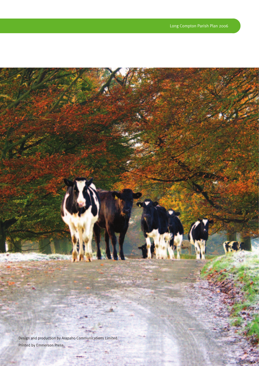silia ¥H v Design and production by Arapaho Communications Limited. Printed by Emmerson Press.